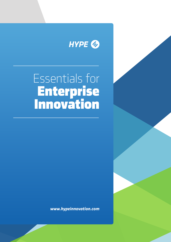

## Essentials for Enterprise Innovation

*www.hypeinnovation.com*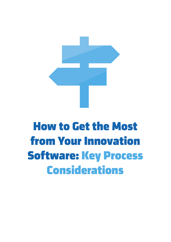

## How to Get the Most from Your Innovation Software: Key Process Considerations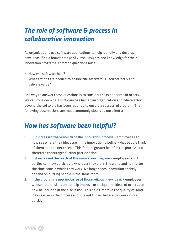### *The role of software & process in collaborative innovation*

As organizations use software applications to help identify and develop new ideas, find a broader range of views, insights and knowledge for their innovation programs, common questions arise:

- How will software help?
- What actions are needed to ensure the software is used correctly and delivers value?

One way to answer these questions is to consider the experiences of others. We can consider where software has helped an organization and where effort beyond the software has been required to ensure a successful program. The following observations are most commonly observed our clients:

#### *How has software been helpful?*

- 1. ...it increased the visibility of the innovation process employees can now see where their ideas are in the innovation pipeline, what people think of them and the next steps. This fosters greater belief in the process and therefore encourages further participation.
- 2. ...it increased the reach of the innovation program employees and third parties can now participate wherever they are in the world and no matter the time zone in which they work. No longer does innovation entirely depend on putting people in the same room.
- 3. ...the program is now inclusive of those *without* new ideas employees whose natural skills are to help improve or critique the ideas of others can now be included in the discussion. This helps improve the quality of good ideas earlier in the process and rule out those that are too weak more quickly.

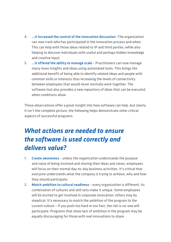- 4. …it increased the control of the innovation discussion –The organization can now track who has participated in the innovation process and when. This can help with those ideas related to IP and third parties, while also helping to discover individuals with useful and perhaps hidden knowledge and creative input.
- 5. …it offered the ability to manage scale Practitioners can now manage many more insights and ideas using automated tools. This brings the additional benefit of being able to identify related ideas and people with common skills or interests thus increasing the levels of connectivity between employees that would never normally work together. The software tool also provides a new repository of ideas that can be executed when conditions allow.

These observations offer a great insight into how software can help, but clearly it isn't the complete picture; the following helps demonstrate other critical aspects of successful programs.

#### *What actions are needed to ensure the software is used correctly and delivers value?*

- 1. Create awareness unless the organization understands the purpose and value of being involved and sharing their ideas and views, employees will focus on their normal day-to-day business activities. It's critical that everyone understands what the company is trying to achieve, why and how they should participate.
- 2. Match ambition to cultural readiness every organization is different, its combination of cultures and skill sets make it unique. Some employees will be excited to get involved in corporate innovation; others may by skeptical. It's necessary to match the ambition of the program to the current culture – if you push too hard or too fast, the risk is no-one will participate. Programs that show lack of ambition in the program may be equally discouraging for those with real innovations to share.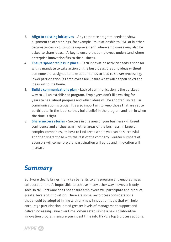- 3. Align to existing initiatives Any corporate program needs to show alignment to other things, for example, its relationship to R&D or in other circumstances – continuous improvement, where employees may also be asked to share ideas. It's key to ensure that employees understand where enterprise innovation fits to the business.
- 4. Ensure sponsorship is in place Each innovation activity needs a sponsor with a mandate to take action on the best ideas. Creating ideas without someone pre-assigned to take action tends to lead to slower processing, lower participation (as employees are unsure what will happen next) and ideas without a home.
- 5. Build a communications plan Lack of communication is the quickest way to kill an established program. Employees don't like waiting for years to hear about progress and which ideas will be adopted, so regular communication is crucial. It's also important to keep those that are yet to participate 'in the loop' so they build belief in the program and join in when the time is right.
- 6. Share success stories Success in one area of your business will breed confidence and enthusiasm in other areas of the business. In large or complex companies, its best to find areas where you can be successful and then share those with the rest of the company. Greater numbers of sponsors will come forward, participation will go up and innovation will increase.

#### *Summary*

Software clearly brings many key benefits to any program and enables mass collaboration that's impossible to achieve in any other way, however it only goes so far. Software does not ensure employees will participate and produce greater levels of innovation. There are some key process considerations that should be adopted in line with any new innovation tools that will help encourage participation, breed greater levels of management support and deliver increasing value over time. When establishing a new collaborative innovation program, ensure you invest time into HYPE's top 5 process actions.

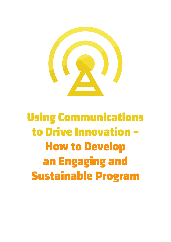

Using Communications to Drive Innovation – How to Develop an Engaging and Sustainable Program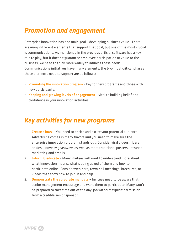#### *Promotion and engagement*

Enterprise innovation has one main goal – developing business value. There are many different elements that support that goal, but one of the most crucial is communications. As mentioned in the previous article, software has a key role to play, but it doesn't guarantee employee participation or value to the business, we need to think more widely to address these needs. Communications initiatives have many elements, the two most critical phases these elements need to support are as follows:

- Promoting the innovation program key for new programs and those with new participants.
- Keeping and growing levels of engagement vital to building belief and confidence in your innovation activities.

#### *Key activities for new programs*

- 1. Create a buzz You need to entice and excite your potential audience. Advertising comes in many flavors and you need to make sure the enterprise innovation program stands out. Consider viral videos, flyers on desk, novelty giveaways as-well as more traditional posters, intranet marketing and emails.
- 2. Inform & educate Many invitees will want to understand more about what innovation means, what's being asked of them and how to participate online. Consider webinars, town hall meetings, brochures, or videos that show how to join in and help.
- 3. Demonstrate the corporate mandate Invitees need to be aware that senior management encourage and want them to participate. Many won't be prepared to take time out of the day-job without explicit permission from a credible senior sponsor.

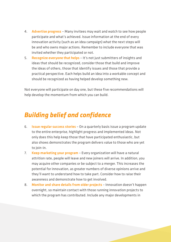- 4. Advertise progress Many invitees may wait and watch to see how people participate and what's achieved. Issue information at the end of every innovation activity (such as an idea campaign) what the next steps will be and who owns major actions. Remember to include everyone that was invited whether they participated or not.
- 5. Recognize everyone that helps It's not just submitters of insights and ideas that should be recognized, consider those that build and improve the ideas of others, those that identify issues and those that provide a practical perspective. Each helps build an idea into a workable concept and should be recognized as having helped develop something new.

Not everyone will participate on day one, but these five recommendations will help develop the momentum from which you can build.

#### *Building belief and confidence*

- 6. Issue regular success stories On a quarterly basis issue a program update to the entire enterprise, highlight progress and implemented ideas. Not only does this help keep those that have participated enthusiastic, but also shows demonstrates the program delivers value to those who are yet to join-in.
- 7. Keep marketing your program Every organization will have a natural attrition rate, people will leave and new joiners will arrive. In addition, you may acquire other companies or be subject to a merger. This increases the potential for innovation, as greater numbers of diverse opinions arrive and they'll want to understand how to take part. Consider how to raise their awareness and demonstrate how to get involved.
- 8. Monitor and share details from older projects Innovation doesn't happen overnight, so maintain contact with those running innovation projects to which the program has contributed. Include any major developments in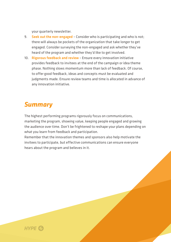your quarterly newsletter.

- 9. Seek out the non-engaged Consider who is participating and who is not; there will always be pockets of the organization that take longer to get engaged. Consider surveying the non-engaged and ask whether they've heard of the program and whether they'd like to get involved.
- 10. Rigorous feedback and review Ensure every innovation initiative provides feedback to invitees at the end of the campaign or idea theme phase. Nothing slows momentum more than lack of feedback. Of course, to offer good feedback, ideas and concepts must be evaluated and judgments made. Ensure review teams and time is allocated in advance of any innovation initiative.

#### *Summary*

The highest performing programs rigorously focus on communications, marketing the program, showing value, keeping people engaged and growing the audience over time. Don't be frightened to reshape your plans depending on what you learn from feedback and participation.

Remember that the innovation themes and sponsors also help motivate the invitees to participate, but effective communications can ensure everyone hears about the program and believes in it.

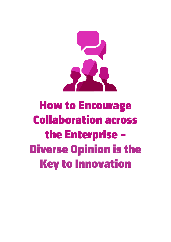

# How to Encourage Collaboration across the Enterprise – Diverse Opinion is the Key to Innovation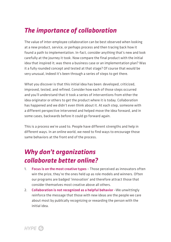### *The importance of collaboration*

The value of inter-employee collaboration can be best observed when looking at a new product, service, or perhaps process and then tracing back how it found a path to implementation. In-fact, consider anything that's new and look carefully at the journey it took. Now compare the final product with the initial idea that inspired it; was there a business case or an implementation plan? Was it a fully rounded concept and tested at that stage? Of course that would be very unusual, indeed it's been through a series of steps to get there.

What you discover is that this initial idea has been: developed, criticized, improved, tested, and refined. Consider how each of those steps occurred and you'll understand that it took a series of interventions from either the idea originator or others to get the product where it is today. Collaboration has happened and we didn't even think about it. At each step, someone with a different perspective intervened and helped move the idea forward, and in some cases, backwards before it could go forward again.

This is a process we're used to. People have different strengths and help in different ways. In an online world, we need to find ways to encourage those same behaviors at the front end of the process.

#### *Why don't organizations collaborate better online?*

- 1. Focus is on the most creative types Those perceived as innovators often win the prize, they're the ones held up as role models and winners. Often our programs are badged 'innovation' and therefore attract those that consider themselves most creative above all others.
- 2. Collaboration is not recognized as a helpful behavior We unwittingly reinforce the message that those with new ideas are the people we care about most by publically recognizing or rewarding the person with the initial idea.

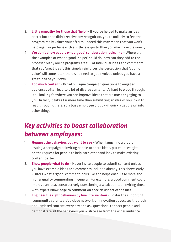- 3. Little empathy for those that 'help' If you've helped to make an idea better but then didn't receive any recognition, you're unlikely to feel the program really values your efforts. Indeed this may mean that you won't help again or perhaps with a little less gusto than you may have previously.
- 4. We don't show people what 'good' collaboration looks like Where are the examples of what a good 'helper' could do, how can they add to the process? Many online programs are full of individual ideas and comments that say 'great idea!', this simply reinforces the perception that 'adding value' will come later, there's no need to get involved unless you have a great idea of your own.
- 5. Too much content Broad or vague campaign questions to engaged audiences often lead to a lot of diverse content, it's hard to wade through, it all looking for where you can improve ideas that are most engaging to you. In fact, it takes far more time than submitting an idea of your own to read through others, so a busy employee group will quickly get drawn into other things.

### *Key activities to boost collaboration between employees:*

- 1. Request the behaviors you want to see When launching a program, issuing a campaign or inviting people to share ideas, put equal weight on the request for people to help each other and look to make existing content better.
- 2. Show people what to do Never invite people to submit content unless you have example ideas and comments included already, this shows early visitors what a 'good' comment looks like and helps encourage more and higher quality commenting in general. For example, a good comment could improve an idea, constructively questioning a weak point, or inviting those with expert knowledge to comment on specific aspect of the idea.
- 3. Engineer the right behaviors by live intervention Foster the support of 'community volunteers', a close network of innovation advocates that look at submitted content every day and ask questions, connect people and demonstrate all the behaviors you wish to see from the wider audience.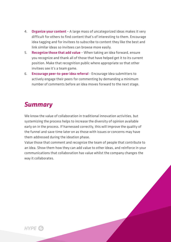- 4. Organize your content A large mass of uncategorized ideas makes it very difficult for others to find content that's of interesting to them. Encourage idea tagging and for invitees to subscribe to content they like the best and link similar ideas so invitees can browse more easily.
- 5. Recognize those that add value When taking an idea forward, ensure you recognize and thank all of those that have helped get it to its current position. Make that recognition public where appropriate so that other invitees see it's a team game.
- 6. Encourage peer-to-peer idea referral Encourage idea submitters to actively engage their peers for commenting by demanding a minimum number of comments before an idea moves forward to the next stage.

#### *Summary*

We know the value of collaboration in traditional innovation activities, but systemizing the process helps to increase the diversity of opinion available early on in the process. If harnessed correctly, this will improve the quality of the funnel and save time later on as those with issues or concerns may have them addressed during the ideation phase.

Value those that comment and recognize the team of people that contribute to an idea. Show them how they can add value to other ideas, and reinforce in your communications that collaboration has value whilst the company changes the way it collaborates.

**HYPE &**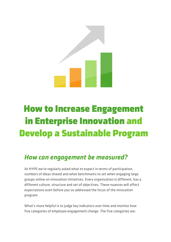

## How to Increase Engagement in Enterprise Innovation and Develop a Sustainable Program

#### *How can engagement be measured?*

At HYPE we're regularly asked what to expect in terms of participation, numbers of ideas shared and what benchmarks to set when engaging large groups online on innovation initiatives. Every organization is different, has a different culture, structure and set of objectives. These nuances will affect expectations even before you've addressed the focus of the innovation program.

What's more helpful is to judge key indicators over time and monitor how five categories of employee engagement change. The five categories are: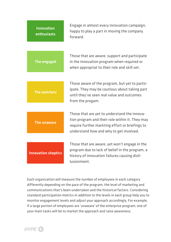| <b>Innovation</b><br>enthusiasts | Engage in almost every innovation campaign,<br>happy to play a part in moving the company<br>forward                                                                                          |
|----------------------------------|-----------------------------------------------------------------------------------------------------------------------------------------------------------------------------------------------|
|                                  |                                                                                                                                                                                               |
| The engaged                      | Those that are aware, support and participate<br>in the innovation program when required or<br>when appropriat to their role and skill set.                                                   |
|                                  |                                                                                                                                                                                               |
| <b>The watchers</b>              | Those aware of the program, but yet to partic-<br>ipate. They may be coutious about taking part<br>until they've seen real value and outcomes<br>from the progam.                             |
|                                  |                                                                                                                                                                                               |
| The unaware                      | Those that are yet to understand the innova-<br>tion program and their role within it. They may<br>require further markting effort or briefings to<br>understand how and why to get involved. |
|                                  |                                                                                                                                                                                               |
| <b>Innovation skeptics</b>       | Those that are aware, yet won't engage in the<br>program due to lack of belief in the program, a<br>history of innovation failures causing disil-<br>lusionment.                              |

Each organization will measure the number of employees in each category differently depending on the pace of the program, the level of marketing and communications that's been undertaken and the historical factors. Considering standard participation metrics in addition to the levels in each group help you to monitor engagement levels and adjust your approach accordingly. For example, if a large portion of employees are 'unaware' of the enterprise program, one of your main tasks will be to market the approach and raise awareness.

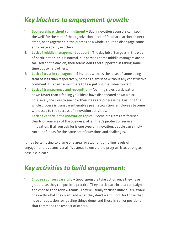#### *Key blockers to engagement growth:*

- 1. Sponsorship without commitment Bad innovation sponsors can 'spoil the well' for the rest of the organization. Lack of feedback, action on next steps, or engagement in the process as a whole is sure to disengage some and create apathy in others.
- 2. Lack of middle management support The day job often gets in the way of participation, this is normal, but perhaps some middle managers are so focused on the day job, their teams don't feel supported in taking some time out to help others.
- 3. Lack of trust in colleagues If invitees witness the ideas of some being treated less than respectively, perhaps dismissed without any constructive comment, this can cause others to fear putting their idea forward.
- 4. Lack of transparency and recognition Nothing slows participation down faster than a feeling your ideas have disappeared down a black hole; everyone likes to see how their ideas are progressing. Ensuring the whole process is transparent enables peer recognition; employees become witnesses to the success of innovation activities.
- 5. Lack of variety in the innovation topics Some programs are focused clearly on one area of the business, often that's product or service innovation. If all you ask for is one type of innovation, people can simply run out of ideas for the same set of questions and challenges.

It may be tempting to blame one area for stagnant or falling levels of engagement, but consider all five areas to ensure the program is as strong as possible in each.

#### *Key activities to build engagement:*

1. Choose sponsors carefully – Good sponsors take action once they have great ideas they can put into practice. They participate in idea campaigns and choose good review teams. They're usually focused individuals, aware of exactly what they want and what they don't want. Look for those that have a reputation for 'getting things done' and those in senior positions that command the respect of others.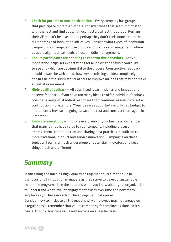- 2. Check for pockets of non-participation Every company has groups that participate more than others, consider those that seem out of step with the rest and find out what local factors affect that group. Perhaps their VP doesn't believe in it, or perhapsthey don't feel connected to the current range of innovation initiatives. Consider what types of innovation campaign could engage those groups and their local management; where possible align tactical needs of local middle management.
- 3. Ensure participants are adhering to constructive behaviors– Active moderation helps set expectations for all on what behaviors you'd like to see and which are detrimental to the process. Constructive feedback should always be welcomed, however dismissing an idea completely doesn't help the submitter or others to improve an idea that may not make an initial assessment.
- 4. High-quality feedback All submitted ideas, insights and innovations deserve feedback. If you have too many ideas to offer individual feedback, consider a range of standard responses to fit common reasons to reject a contribution. For example: 'Your idea was good, but we only had budget to implement a few, so I'm going to save the rest and consider them again in 6 months.'
- 5. Innovate everything Innovate every area of your business.Remember that many things have value to your company, including process improvement, cost reduction and sharing best practices in addition to more traditional product and service innovation. Campaigns on these topics will pull in a much wider group of potential innovators and keep things fresh and different.

#### *Summary*

Maintaining and building high-quality engagement over time should be the focus of all innovation managers as they strive to develop sustainable enterprise programs. Use the data and what you know about your organization to understand what level of engagement exists over time and how many employees you have in each of the engagement categories. Consider how to mitigate all the reasons why employees may not engage on a regular basis; remember that you're competing for employees time, so it's crucial to show business value and success on a regular basis.

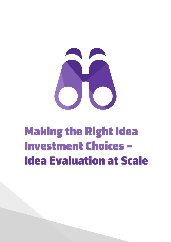

# Making the Right Idea Investment Choices – Idea Evaluation at Scale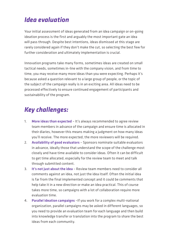### *Idea evaluation*

Your initial assessment of ideas generated from an idea campaign or on-going ideation process is the first and arguably the most important gate an idea will pass through. Despite best intentions, ideas dismissed at this stage are rarely considered again if they don't make the cut, so selecting the best few for further consideration and ultimately implementation is crucial.

Innovation programs take many forms, sometimes ideas are created on small tactical needs, sometimes in-line with the company vision, and from time to time, you may receive many more ideas than you were expecting. Perhaps it's because asked a question relevant to a large group of people, or the topic of the subject of the campaign really is in an exciting area. All ideas need to be processed effectively to ensure continued engagement of participants and sustainability of the program.

### *Key challenges:*

- 1. More ideas than expected It's always recommended to agree review team members in advance of the campaign and ensure time is allocated in their diaries, however this means making a judgment on how many ideas you'll receive. The more expected, the more reviewers will be required.
- 2. Availability of good evaluators Sponsors nominate suitable evaluators in advance, ideally those that understand the scope of the challenge most closely and have time available to consider ideas. Often it can be difficult to get time allocated, especially for the review team to meet and talk through submitted content.
- 3. It's not just about the idea Review team members need to consider all comments against an idea, not just the idea itself. Often the initial idea is far from the final implemented concept and it could be comments that help take it in a new direction or make an idea practical. This of course takes more time, so campaigns with a lot of collaboration require more evaluation time.
- 4. Parallel ideation campaigns –If you work for a complex multi-national organization, parallel campaigns may be asked in different languages, so you need to provide an evaluation team for each language and then build into knowledge transfer or translation into the program to share the best ideas from each community.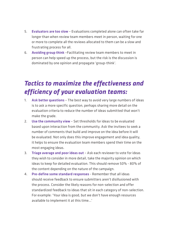- 5. Evaluators are too slow Evaluations completed alone can often take far longer than when review team members meet in person, waiting for one or more to complete all the reviews allocated to them can be a slow and frustrating process for all.
- 6. Avoiding group think –Facilitating review team members to meet in person can help speed up the process, but the risk is the discussion is dominated by one opinion and propagate 'group-think'.

### *Tactics to maximize the effectiveness and efficiency of your evaluation teams:*

- 1. Ask better questions The best way to avoid very large numbers of ideas is to ask a more specific question, perhaps sharing more detail on the evaluation criteria to reduce the number of ideas submitted that won't make the grade.
- 2. Use the community view Set thresholds for ideas to be evaluated based upon interaction from the community. Ask the invitees to seek a number of comments that build and improve on the idea before it will be evaluated. Not only does this improve engagement and idea quality, it helps to ensure the evaluation team members spend their time on the most engaging ideas.
- 3. Triage average and poor ideas out Ask each reviewer to vote for ideas they wish to consider in more detail, take the majority opinion on which ideas to keep for detailed evaluation. This should remove 50% - 80% of the content depending on the nature of the campaign.
- 4. Pre-define some standard responses Remember that all ideas should receive feedback to ensure submitters aren't disillusioned with the process. Consider the likely reasons for non-selection and offer standardized feedback to ideas that sit in each category of non-selection. For example: 'Your idea is good, but we don't have enough resources available to implement it at this time…'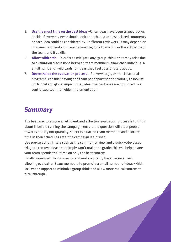- 5. Use the most time on the best ideas –Once ideas have been triaged down, decide if every reviewer should look at each idea and associated comments or each idea could be considered by 3 different reviewers. It may depend on how much content you have to consider, look to maximize the efficiency of the team and its skills.
- 6. Allow wildcards In order to mitigate any 'group-think' that may arise due to evaluation discussions between team members, allow each individual a small number of wild cards for ideas they feel passionately about.
- 7. Decentralize the evaluation process For very large, or multi-national programs, consider having one team per department or country to look at both local and global impact of an idea, the best ones are promoted to a centralized team for wider implementation.

#### *Summary*

The best way to ensure an efficient and effective evaluation process is to think about it before running the campaign, ensure the question will steer people towards quality not quantity, select evaluation team members and allocate time in their schedules after the campaign is finished.

Use pre-selection filters such as the community view and a quick vote-based triage to remove ideas that simply won't make the grade; this will help ensure your team spends their time on only the best content.

Finally, review all the comments and make a quality based assessment, allowing evaluation team members to promote a small number of ideas which lack wider support to minimize group think and allow more radical content to filter through.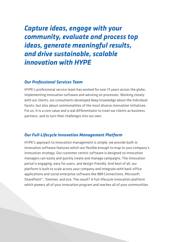### *Capture ideas, engage with your community, evaluate and process top ideas, generate meaningful results, and drive sustainable, scalable innovation with HYPE*

#### *Our Professional Services Team*

HYPE's professional service team has worked for over 13 years across the globe, implementing innovation software and advising on processes. Working closely with our clients, our consultants developed deep knowledge about the individual facets, but also about commonalities of the most diverse innovation initiatives. For us, it is a core value and a real differentiator to treat our clients as business partners, and to turn their challenges into our own.

#### *Our Full-Lifecycle Innovation Management Platform*

HYPE's approach to innovation management is simple: we provide built-in innovation software features which are flexible enough to map to your company's innovation strategy. Our customer-centric software is designed so innovation managers can easily and quickly create and manage campaigns. The innovation portal is engaging, easy for users, and design-friendly. And best of all, our platform is built to scale across your company and integrate with back-office applications and social enterprise software like IBM Connections, Microsoft SharePoint™, Yammer, and Jive. The result? A full-lifecycle innovation platform which powers all of your innovation program and reaches all of your communities.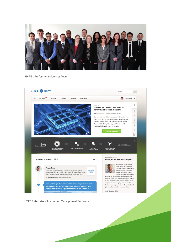

HYPE's Professional Services Team



HYPE Enterprise – Innovation Management Software